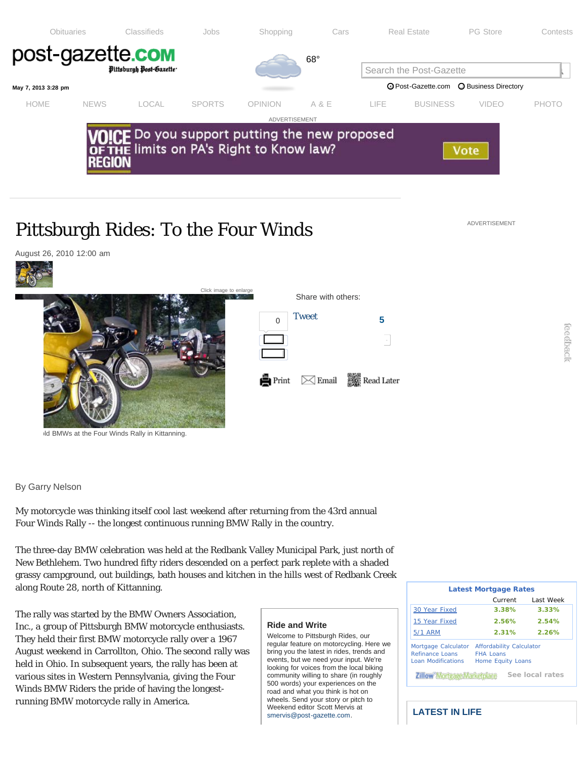<span id="page-0-0"></span>

## Pittsburgh Rides: To the Four Winds

August 26, 2010 12:00 am Click image to enlar Share with others: [Tweet](http://twitter.com/share?count=vertical&via=pittsburghpg&url=http%3A%2F%2Fwww.post-gazette.com%2Fstories%2Flife%2Fpittsburgh-rides%2Fpittsburgh-rides-to-the-four-winds-261274%2F) **5**  $\Omega$  $\overline{\phantom{a}}$ Send  $\bowtie$  Email Read Later Print

Id BMWs at the Four Winds Rally in Kittanning.

By Garry Nelson

My motorcycle was thinking itself cool last weekend after returning from the 43rd annual Four Winds Rally -- the longest continuous running BMW Rally in the country.

The three-day BMW celebration was held at the Redbank Valley Municipal Park, just north of New Bethlehem. Two hundred fifty riders descended on a perfect park replete with a shaded grassy campground, out buildings, bath houses and kitchen [in the hills](http://www.post-gazette.com/stories/life/pittsburgh-rides/pittsburgh-rides-to-the-four-winds-261274/?print=1) [west of Redbank Creek](http://www.post-gazette.com/stories/life/pittsburgh-rides/pittsburgh-rides-to-the-four-winds-261274/?email=1) along Route 28, north of Kittanning.

The rally was started by the BMW Owners Association, Inc., a group of Pittsburgh BMW motorcycle enthusiasts. They held their first BMW motorcycle rally over a 1967 August weekend in Carrollton, Ohio. The second rally was held in Ohio. In subsequent years, the rally has been at various sites in Western Pennsylvania, giving the Four Winds BMW Riders the pride of having the longestrunning BMW motorcycle rally in America.

## **Ride and Write**

Welcome to Pittsburgh Rides, our regular feature on motorcycling. Here we bring you the latest in rides, trends and events, but we need your input. We're looking for voices from the local biking community willing to share (in roughly 500 words) your experiences on the road and what you think is hot on wheels. Send your story or pitch to Weekend editor Scott Mervis at [smervis@post-gazette.com.](mailto:smervis@post-gazette.com)

| <b>Latest Mortgage Rates</b>                                 |                                                                                 |           |  |
|--------------------------------------------------------------|---------------------------------------------------------------------------------|-----------|--|
|                                                              | Current                                                                         | Last Week |  |
| 30 Year Fixed                                                | 3.38%                                                                           | 3.33%     |  |
| 15 Year Fixed                                                | 2.56%                                                                           | 2.54%     |  |
| <b>5/1 ARM</b>                                               | 2.31%                                                                           | 2.26%     |  |
| Mortgage Calculator<br>Refinance Loans<br>Loan Modifications | <b>Affordability Calculator</b><br><b>FHA Loans</b><br><b>Home Equity Loans</b> |           |  |
| See local rates                                              |                                                                                 |           |  |

**LATEST IN LIFE**

ADVERTISEMENT

ccdback